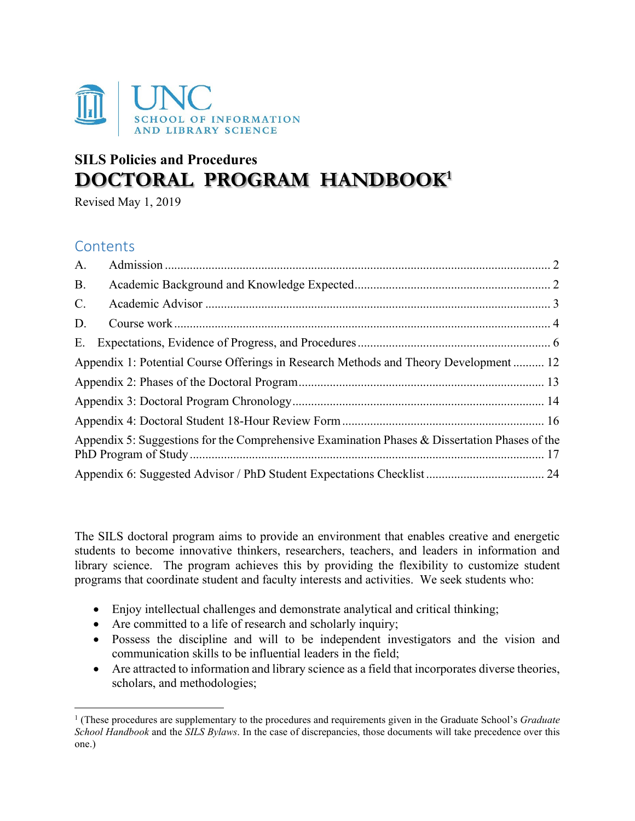

# **SILS Policies and Procedures DOCTORAL PROGRAM HANDBOOK[1](#page-0-0)**

Revised May 1, 2019

# **Contents**

| A.                                                                                            |  |  |
|-----------------------------------------------------------------------------------------------|--|--|
| <b>B.</b>                                                                                     |  |  |
| C.                                                                                            |  |  |
| D.                                                                                            |  |  |
| Ε.                                                                                            |  |  |
| Appendix 1: Potential Course Offerings in Research Methods and Theory Development 12          |  |  |
|                                                                                               |  |  |
|                                                                                               |  |  |
|                                                                                               |  |  |
| Appendix 5: Suggestions for the Comprehensive Examination Phases & Dissertation Phases of the |  |  |
|                                                                                               |  |  |

The SILS doctoral program aims to provide an environment that enables creative and energetic students to become innovative thinkers, researchers, teachers, and leaders in information and library science. The program achieves this by providing the flexibility to customize student programs that coordinate student and faculty interests and activities. We seek students who:

- Enjoy intellectual challenges and demonstrate analytical and critical thinking;
- Are committed to a life of research and scholarly inquiry;
- Possess the discipline and will to be independent investigators and the vision and communication skills to be influential leaders in the field;
- Are attracted to information and library science as a field that incorporates diverse theories, scholars, and methodologies;

<span id="page-0-0"></span><sup>1</sup> (These procedures are supplementary to the procedures and requirements given in the Graduate School's *Graduate School Handbook* and the *SILS Bylaws*. In the case of discrepancies, those documents will take precedence over this one.)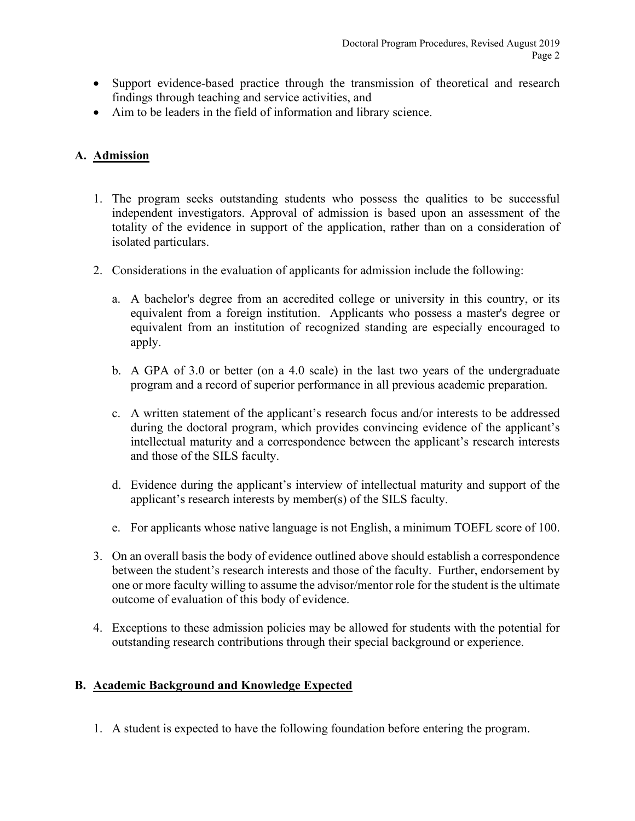- Support evidence-based practice through the transmission of theoretical and research findings through teaching and service activities, and
- Aim to be leaders in the field of information and library science.

# <span id="page-1-0"></span>**A. Admission**

- 1. The program seeks outstanding students who possess the qualities to be successful independent investigators. Approval of admission is based upon an assessment of the totality of the evidence in support of the application, rather than on a consideration of isolated particulars.
- 2. Considerations in the evaluation of applicants for admission include the following:
	- a. A bachelor's degree from an accredited college or university in this country, or its equivalent from a foreign institution. Applicants who possess a master's degree or equivalent from an institution of recognized standing are especially encouraged to apply.
	- b. A GPA of 3.0 or better (on a 4.0 scale) in the last two years of the undergraduate program and a record of superior performance in all previous academic preparation.
	- c. A written statement of the applicant's research focus and/or interests to be addressed during the doctoral program, which provides convincing evidence of the applicant's intellectual maturity and a correspondence between the applicant's research interests and those of the SILS faculty.
	- d. Evidence during the applicant's interview of intellectual maturity and support of the applicant's research interests by member(s) of the SILS faculty.
	- e. For applicants whose native language is not English, a minimum TOEFL score of 100.
- 3. On an overall basis the body of evidence outlined above should establish a correspondence between the student's research interests and those of the faculty. Further, endorsement by one or more faculty willing to assume the advisor/mentor role for the student is the ultimate outcome of evaluation of this body of evidence.
- 4. Exceptions to these admission policies may be allowed for students with the potential for outstanding research contributions through their special background or experience.

### <span id="page-1-1"></span>**B. Academic Background and Knowledge Expected**

1. A student is expected to have the following foundation before entering the program.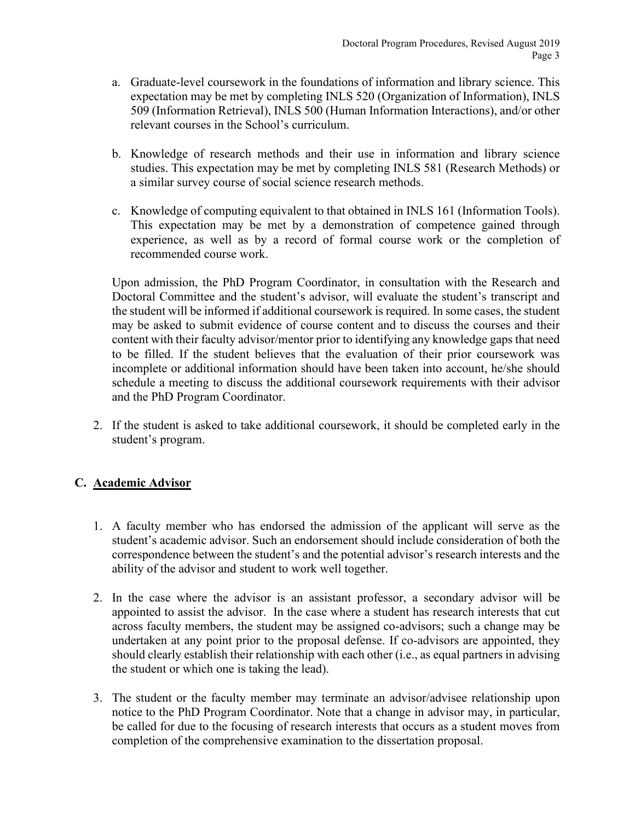- a. Graduate-level coursework in the foundations of information and library science. This expectation may be met by completing INLS 520 (Organization of Information), INLS 509 (Information Retrieval), INLS 500 (Human Information Interactions), and/or other relevant courses in the School's curriculum.
- b. Knowledge of research methods and their use in information and library science studies. This expectation may be met by completing INLS 581 (Research Methods) or a similar survey course of social science research methods.
- c. Knowledge of computing equivalent to that obtained in INLS 161 (Information Tools). This expectation may be met by a demonstration of competence gained through experience, as well as by a record of formal course work or the completion of recommended course work.

Upon admission, the PhD Program Coordinator, in consultation with the Research and Doctoral Committee and the student's advisor, will evaluate the student's transcript and the student will be informed if additional coursework is required. In some cases, the student may be asked to submit evidence of course content and to discuss the courses and their content with their faculty advisor/mentor prior to identifying any knowledge gaps that need to be filled. If the student believes that the evaluation of their prior coursework was incomplete or additional information should have been taken into account, he/she should schedule a meeting to discuss the additional coursework requirements with their advisor and the PhD Program Coordinator.

2. If the student is asked to take additional coursework, it should be completed early in the student's program.

# <span id="page-2-0"></span>**C. Academic Advisor**

- 1. A faculty member who has endorsed the admission of the applicant will serve as the student's academic advisor. Such an endorsement should include consideration of both the correspondence between the student's and the potential advisor's research interests and the ability of the advisor and student to work well together.
- 2. In the case where the advisor is an assistant professor, a secondary advisor will be appointed to assist the advisor. In the case where a student has research interests that cut across faculty members, the student may be assigned co-advisors; such a change may be undertaken at any point prior to the proposal defense. If co-advisors are appointed, they should clearly establish their relationship with each other (i.e., as equal partners in advising the student or which one is taking the lead).
- 3. The student or the faculty member may terminate an advisor/advisee relationship upon notice to the PhD Program Coordinator. Note that a change in advisor may, in particular, be called for due to the focusing of research interests that occurs as a student moves from completion of the comprehensive examination to the dissertation proposal.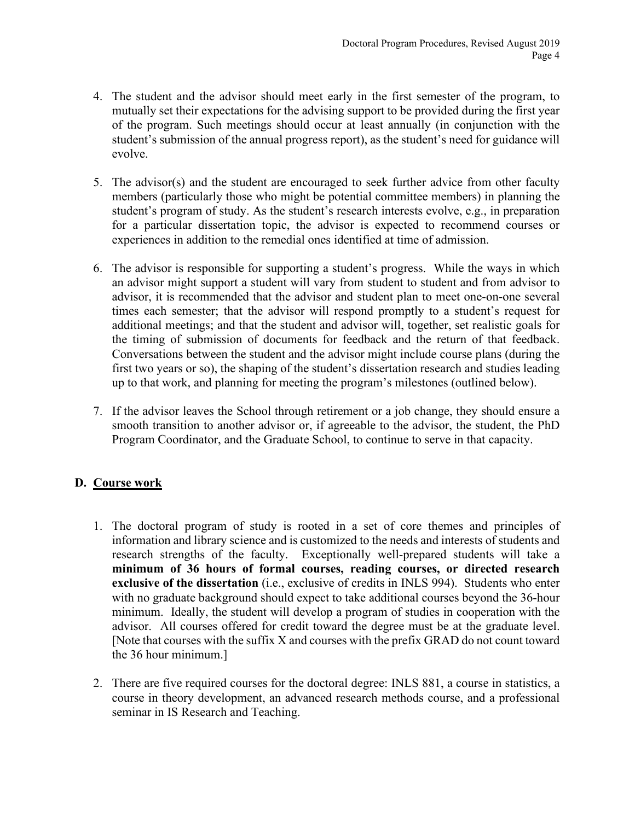- 4. The student and the advisor should meet early in the first semester of the program, to mutually set their expectations for the advising support to be provided during the first year of the program. Such meetings should occur at least annually (in conjunction with the student's submission of the annual progress report), as the student's need for guidance will evolve.
- 5. The advisor(s) and the student are encouraged to seek further advice from other faculty members (particularly those who might be potential committee members) in planning the student's program of study. As the student's research interests evolve, e.g., in preparation for a particular dissertation topic, the advisor is expected to recommend courses or experiences in addition to the remedial ones identified at time of admission.
- 6. The advisor is responsible for supporting a student's progress. While the ways in which an advisor might support a student will vary from student to student and from advisor to advisor, it is recommended that the advisor and student plan to meet one-on-one several times each semester; that the advisor will respond promptly to a student's request for additional meetings; and that the student and advisor will, together, set realistic goals for the timing of submission of documents for feedback and the return of that feedback. Conversations between the student and the advisor might include course plans (during the first two years or so), the shaping of the student's dissertation research and studies leading up to that work, and planning for meeting the program's milestones (outlined below).
- 7. If the advisor leaves the School through retirement or a job change, they should ensure a smooth transition to another advisor or, if agreeable to the advisor, the student, the PhD Program Coordinator, and the Graduate School, to continue to serve in that capacity.

# <span id="page-3-0"></span>**D. Course work**

- 1. The doctoral program of study is rooted in a set of core themes and principles of information and library science and is customized to the needs and interests of students and research strengths of the faculty. Exceptionally well-prepared students will take a **minimum of 36 hours of formal courses, reading courses, or directed research exclusive of the dissertation** (i.e., exclusive of credits in INLS 994). Students who enter with no graduate background should expect to take additional courses beyond the 36-hour minimum. Ideally, the student will develop a program of studies in cooperation with the advisor. All courses offered for credit toward the degree must be at the graduate level. [Note that courses with the suffix X and courses with the prefix GRAD do not count toward the 36 hour minimum.]
- 2. There are five required courses for the doctoral degree: INLS 881, a course in statistics, a course in theory development, an advanced research methods course, and a professional seminar in IS Research and Teaching.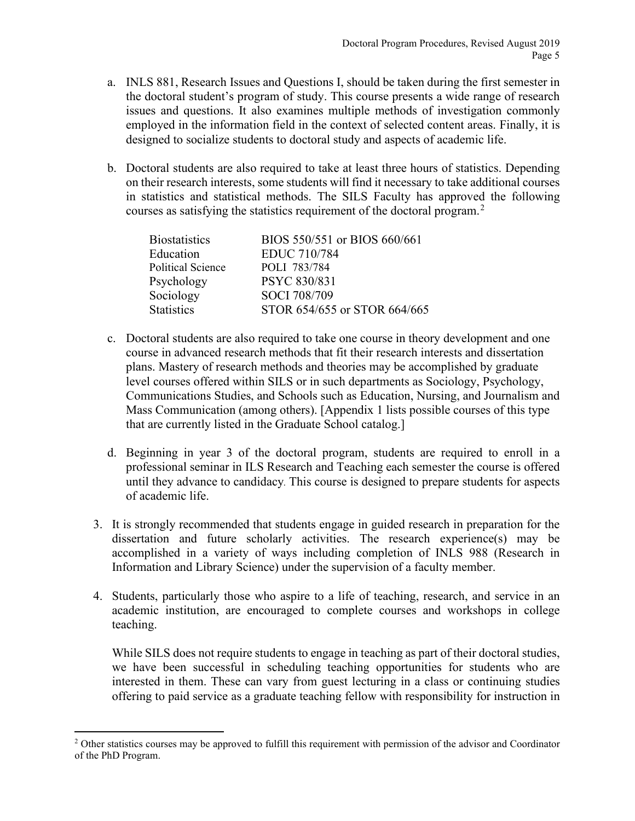- a. INLS 881, Research Issues and Questions I, should be taken during the first semester in the doctoral student's program of study. This course presents a wide range of research issues and questions. It also examines multiple methods of investigation commonly employed in the information field in the context of selected content areas. Finally, it is designed to socialize students to doctoral study and aspects of academic life.
- b. Doctoral students are also required to take at least three hours of statistics. Depending on their research interests, some students will find it necessary to take additional courses in statistics and statistical methods. The SILS Faculty has approved the following courses as satisfying the statistics requirement of the doctoral program.<sup>[2](#page-4-0)</sup>

| <b>Biostatistics</b> | BIOS 550/551 or BIOS 660/661 |
|----------------------|------------------------------|
| Education            | <b>EDUC 710/784</b>          |
| Political Science    | POLI 783/784                 |
| Psychology           | PSYC 830/831                 |
| Sociology            | SOCI 708/709                 |
| <b>Statistics</b>    | STOR 654/655 or STOR 664/665 |

- c. Doctoral students are also required to take one course in theory development and one course in advanced research methods that fit their research interests and dissertation plans. Mastery of research methods and theories may be accomplished by graduate level courses offered within SILS or in such departments as Sociology, Psychology, Communications Studies, and Schools such as Education, Nursing, and Journalism and Mass Communication (among others). [Appendix 1 lists possible courses of this type that are currently listed in the Graduate School catalog.]
- d. Beginning in year 3 of the doctoral program, students are required to enroll in a professional seminar in ILS Research and Teaching each semester the course is offered until they advance to candidacy*.* This course is designed to prepare students for aspects of academic life.
- 3. It is strongly recommended that students engage in guided research in preparation for the dissertation and future scholarly activities. The research experience(s) may be accomplished in a variety of ways including completion of INLS 988 (Research in Information and Library Science) under the supervision of a faculty member.
- 4. Students, particularly those who aspire to a life of teaching, research, and service in an academic institution, are encouraged to complete courses and workshops in college teaching.

While SILS does not require students to engage in teaching as part of their doctoral studies, we have been successful in scheduling teaching opportunities for students who are interested in them. These can vary from guest lecturing in a class or continuing studies offering to paid service as a graduate teaching fellow with responsibility for instruction in

<span id="page-4-0"></span><sup>&</sup>lt;sup>2</sup> Other statistics courses may be approved to fulfill this requirement with permission of the advisor and Coordinator of the PhD Program.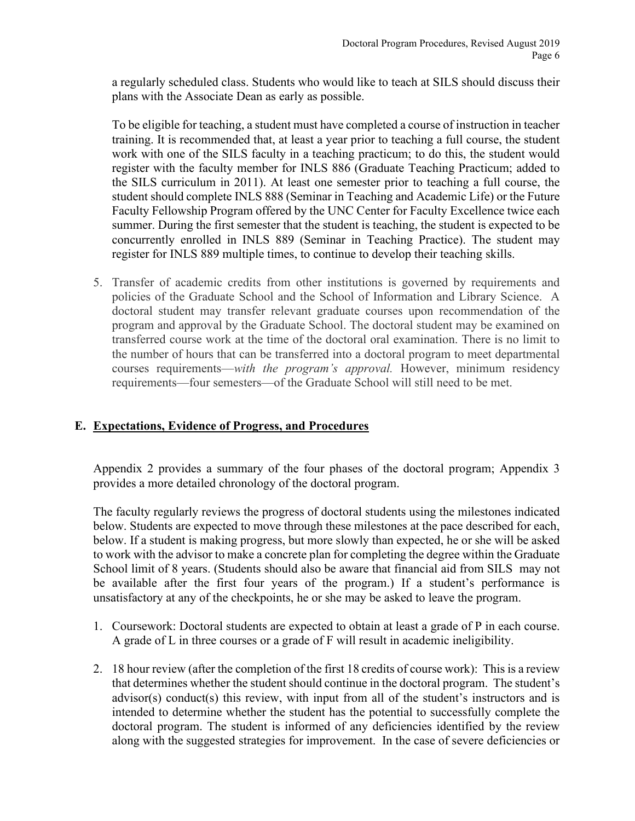a regularly scheduled class. Students who would like to teach at SILS should discuss their plans with the Associate Dean as early as possible.

To be eligible for teaching, a student must have completed a course of instruction in teacher training. It is recommended that, at least a year prior to teaching a full course, the student work with one of the SILS faculty in a teaching practicum; to do this, the student would register with the faculty member for INLS 886 (Graduate Teaching Practicum; added to the SILS curriculum in 2011). At least one semester prior to teaching a full course, the student should complete INLS 888 (Seminar in Teaching and Academic Life) or the Future Faculty Fellowship Program offered by the UNC Center for Faculty Excellence twice each summer. During the first semester that the student is teaching, the student is expected to be concurrently enrolled in INLS 889 (Seminar in Teaching Practice). The student may register for INLS 889 multiple times, to continue to develop their teaching skills.

5. Transfer of academic credits from other institutions is governed by requirements and policies of the Graduate School and the School of Information and Library Science. A doctoral student may transfer relevant graduate courses upon recommendation of the program and approval by the Graduate School. The doctoral student may be examined on transferred course work at the time of the doctoral oral examination. There is no limit to the number of hours that can be transferred into a doctoral program to meet departmental courses requirements—*with the program's approval.* However, minimum residency requirements—four semesters—of the Graduate School will still need to be met.

### <span id="page-5-0"></span>**E. Expectations, Evidence of Progress, and Procedures**

Appendix 2 provides a summary of the four phases of the doctoral program; Appendix 3 provides a more detailed chronology of the doctoral program.

The faculty regularly reviews the progress of doctoral students using the milestones indicated below. Students are expected to move through these milestones at the pace described for each, below. If a student is making progress, but more slowly than expected, he or she will be asked to work with the advisor to make a concrete plan for completing the degree within the Graduate School limit of 8 years. (Students should also be aware that financial aid from SILS may not be available after the first four years of the program.) If a student's performance is unsatisfactory at any of the checkpoints, he or she may be asked to leave the program.

- 1. Coursework: Doctoral students are expected to obtain at least a grade of P in each course. A grade of L in three courses or a grade of F will result in academic ineligibility.
- 2. 18 hour review (after the completion of the first 18 credits of course work): This is a review that determines whether the student should continue in the doctoral program. The student's advisor(s) conduct(s) this review, with input from all of the student's instructors and is intended to determine whether the student has the potential to successfully complete the doctoral program. The student is informed of any deficiencies identified by the review along with the suggested strategies for improvement. In the case of severe deficiencies or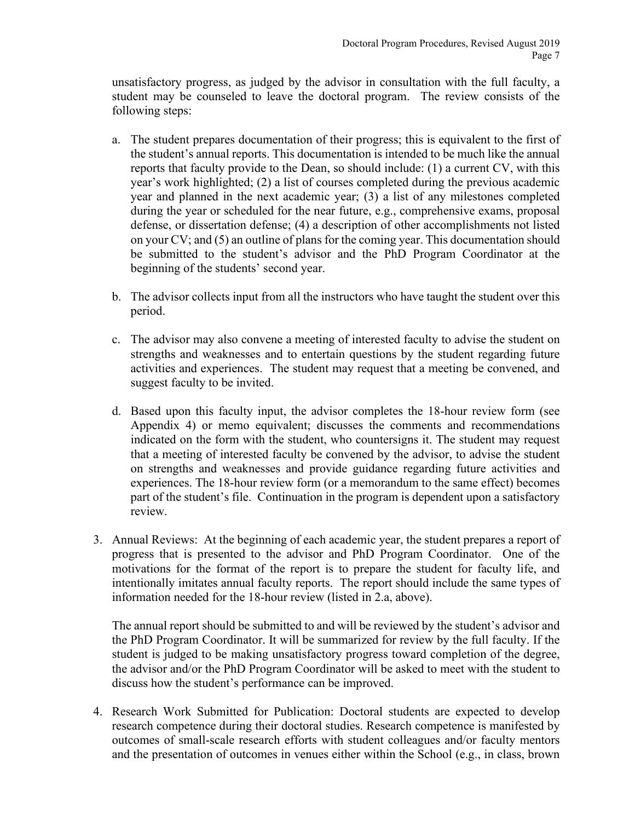unsatisfactory progress, as judged by the advisor in consultation with the full faculty, a student may be counseled to leave the doctoral program. The review consists of the following steps:

- a. The student prepares documentation of their progress; this is equivalent to the first of the student's annual reports. This documentation is intended to be much like the annual reports that faculty provide to the Dean, so should include: (1) a current CV, with this year's work highlighted; (2) a list of courses completed during the previous academic year and planned in the next academic year; (3) a list of any milestones completed during the year or scheduled for the near future, e.g., comprehensive exams, proposal defense, or dissertation defense; (4) a description of other accomplishments not listed on your CV; and (5) an outline of plans for the coming year. This documentation should be submitted to the student's advisor and the PhD Program Coordinator at the beginning of the students' second year.
- b. The advisor collects input from all the instructors who have taught the student over this period.
- c. The advisor may also convene a meeting of interested faculty to advise the student on strengths and weaknesses and to entertain questions by the student regarding future activities and experiences. The student may request that a meeting be convened, and suggest faculty to be invited.
- d. Based upon this faculty input, the advisor completes the 18-hour review form (see Appendix 4) or memo equivalent; discusses the comments and recommendations indicated on the form with the student, who countersigns it. The student may request that a meeting of interested faculty be convened by the advisor, to advise the student on strengths and weaknesses and provide guidance regarding future activities and experiences. The 18-hour review form (or a memorandum to the same effect) becomes part of the student's file. Continuation in the program is dependent upon a satisfactory review.
- 3. Annual Reviews: At the beginning of each academic year, the student prepares a report of progress that is presented to the advisor and PhD Program Coordinator. One of the motivations for the format of the report is to prepare the student for faculty life, and intentionally imitates annual faculty reports. The report should include the same types of information needed for the 18-hour review (listed in 2.a, above).

The annual report should be submitted to and will be reviewed by the student's advisor and the PhD Program Coordinator. It will be summarized for review by the full faculty. If the student is judged to be making unsatisfactory progress toward completion of the degree, the advisor and/or the PhD Program Coordinator will be asked to meet with the student to discuss how the student's performance can be improved.

4. Research Work Submitted for Publication: Doctoral students are expected to develop research competence during their doctoral studies. Research competence is manifested by outcomes of small-scale research efforts with student colleagues and/or faculty mentors and the presentation of outcomes in venues either within the School (e.g., in class, brown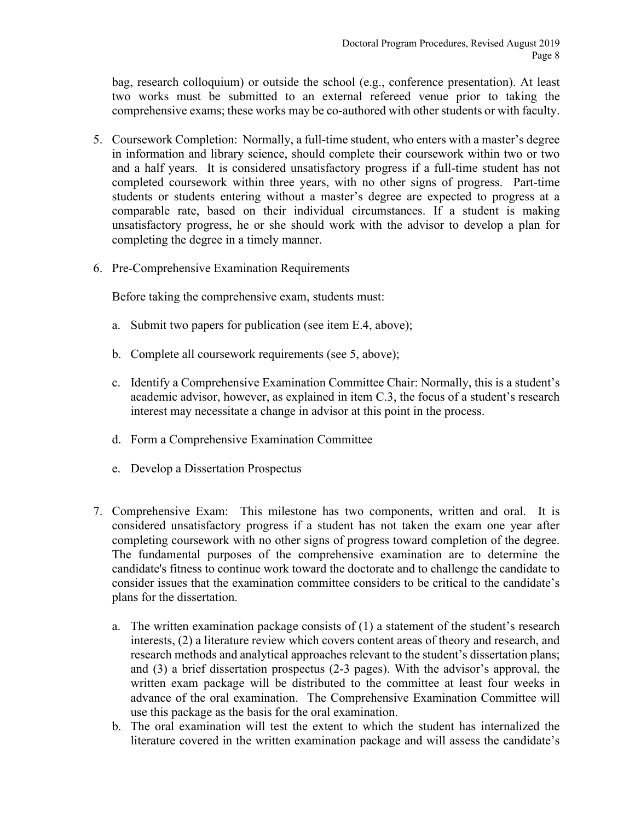bag, research colloquium) or outside the school (e.g., conference presentation). At least two works must be submitted to an external refereed venue prior to taking the comprehensive exams; these works may be co-authored with other students or with faculty.

- 5. Coursework Completion: Normally, a full-time student, who enters with a master's degree in information and library science, should complete their coursework within two or two and a half years. It is considered unsatisfactory progress if a full-time student has not completed coursework within three years, with no other signs of progress. Part-time students or students entering without a master's degree are expected to progress at a comparable rate, based on their individual circumstances. If a student is making unsatisfactory progress, he or she should work with the advisor to develop a plan for completing the degree in a timely manner.
- 6. Pre-Comprehensive Examination Requirements

Before taking the comprehensive exam, students must:

- a. Submit two papers for publication (see item E.4, above);
- b. Complete all coursework requirements (see 5, above);
- c. Identify a Comprehensive Examination Committee Chair: Normally, this is a student's academic advisor, however, as explained in item C.3, the focus of a student's research interest may necessitate a change in advisor at this point in the process.
- d. Form a Comprehensive Examination Committee
- e. Develop a Dissertation Prospectus
- 7. Comprehensive Exam: This milestone has two components, written and oral. It is considered unsatisfactory progress if a student has not taken the exam one year after completing coursework with no other signs of progress toward completion of the degree. The fundamental purposes of the comprehensive examination are to determine the candidate's fitness to continue work toward the doctorate and to challenge the candidate to consider issues that the examination committee considers to be critical to the candidate's plans for the dissertation.
	- a. The written examination package consists of (1) a statement of the student's research interests, (2) a literature review which covers content areas of theory and research, and research methods and analytical approaches relevant to the student's dissertation plans; and (3) a brief dissertation prospectus (2-3 pages). With the advisor's approval, the written exam package will be distributed to the committee at least four weeks in advance of the oral examination. The Comprehensive Examination Committee will use this package as the basis for the oral examination.
	- b. The oral examination will test the extent to which the student has internalized the literature covered in the written examination package and will assess the candidate's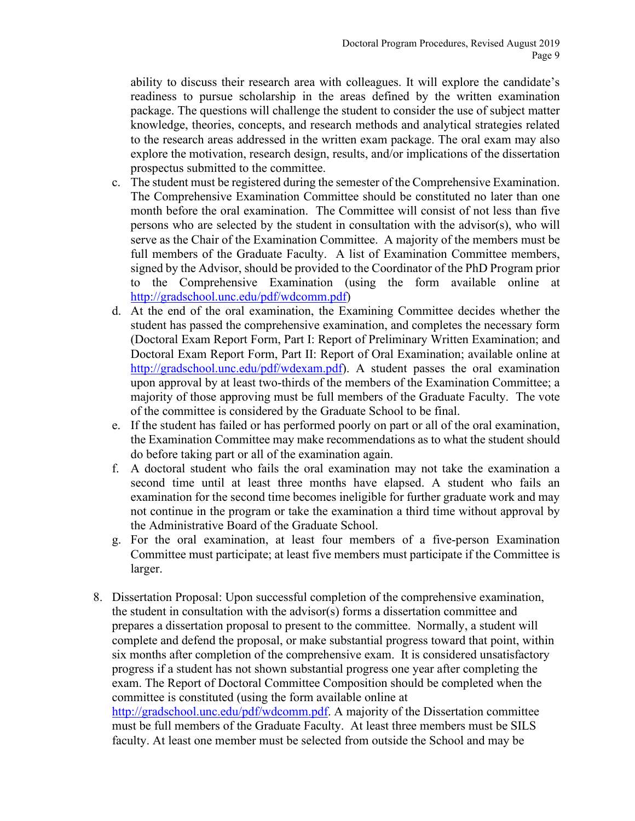ability to discuss their research area with colleagues. It will explore the candidate's readiness to pursue scholarship in the areas defined by the written examination package. The questions will challenge the student to consider the use of subject matter knowledge, theories, concepts, and research methods and analytical strategies related to the research areas addressed in the written exam package. The oral exam may also explore the motivation, research design, results, and/or implications of the dissertation prospectus submitted to the committee.

- c. The student must be registered during the semester of the Comprehensive Examination. The Comprehensive Examination Committee should be constituted no later than one month before the oral examination. The Committee will consist of not less than five persons who are selected by the student in consultation with the advisor(s), who will serve as the Chair of the Examination Committee. A majority of the members must be full members of the Graduate Faculty. A list of Examination Committee members, signed by the Advisor, should be provided to the Coordinator of the PhD Program prior to the Comprehensive Examination (using the form available online at [http://gradschool.unc.edu/pdf/wdcomm.pdf\)](http://gradschool.unc.edu/pdf/wdcomm.pdf)
- d. At the end of the oral examination, the Examining Committee decides whether the student has passed the comprehensive examination, and completes the necessary form (Doctoral Exam Report Form, Part I: Report of Preliminary Written Examination; and Doctoral Exam Report Form, Part II: Report of Oral Examination; available online at http://gradschool.unc.edu/pdf/wdexam.pdf). A student passes the oral examination upon approval by at least two-thirds of the members of the Examination Committee; a majority of those approving must be full members of the Graduate Faculty. The vote of the committee is considered by the Graduate School to be final.
- e. If the student has failed or has performed poorly on part or all of the oral examination, the Examination Committee may make recommendations as to what the student should do before taking part or all of the examination again.
- f. A doctoral student who fails the oral examination may not take the examination a second time until at least three months have elapsed. A student who fails an examination for the second time becomes ineligible for further graduate work and may not continue in the program or take the examination a third time without approval by the Administrative Board of the Graduate School.
- g. For the oral examination, at least four members of a five-person Examination Committee must participate; at least five members must participate if the Committee is larger.
- 8. Dissertation Proposal: Upon successful completion of the comprehensive examination, the student in consultation with the advisor(s) forms a dissertation committee and prepares a dissertation proposal to present to the committee. Normally, a student will complete and defend the proposal, or make substantial progress toward that point, within six months after completion of the comprehensive exam. It is considered unsatisfactory progress if a student has not shown substantial progress one year after completing the exam. The Report of Doctoral Committee Composition should be completed when the committee is constituted (using the form available online at [http://gradschool.unc.edu/pdf/wdcomm.pdf.](http://gradschool.unc.edu/pdf/wdcomm.pdf) A majority of the Dissertation committee must be full members of the Graduate Faculty. At least three members must be SILS

faculty. At least one member must be selected from outside the School and may be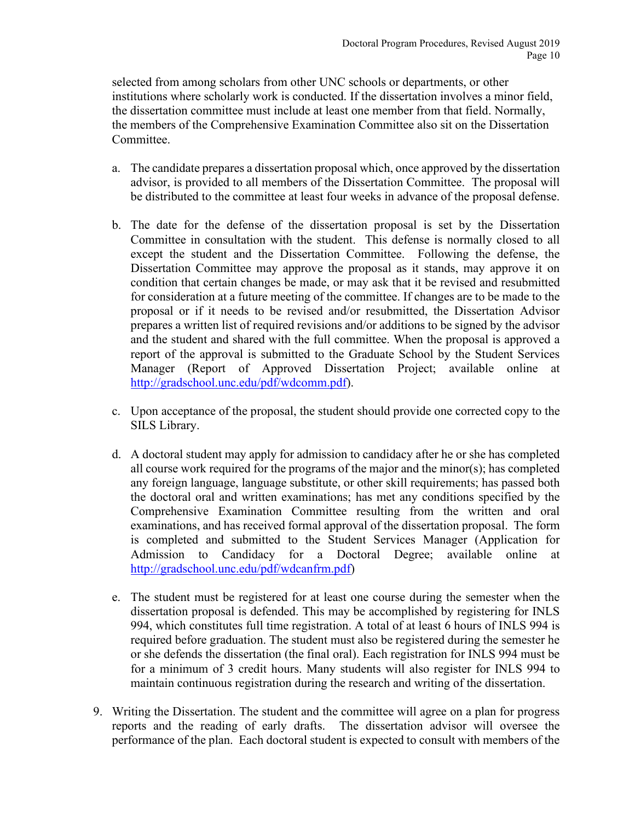selected from among scholars from other UNC schools or departments, or other institutions where scholarly work is conducted. If the dissertation involves a minor field, the dissertation committee must include at least one member from that field. Normally, the members of the Comprehensive Examination Committee also sit on the Dissertation Committee.

- a. The candidate prepares a dissertation proposal which, once approved by the dissertation advisor, is provided to all members of the Dissertation Committee. The proposal will be distributed to the committee at least four weeks in advance of the proposal defense.
- b. The date for the defense of the dissertation proposal is set by the Dissertation Committee in consultation with the student. This defense is normally closed to all except the student and the Dissertation Committee. Following the defense, the Dissertation Committee may approve the proposal as it stands, may approve it on condition that certain changes be made, or may ask that it be revised and resubmitted for consideration at a future meeting of the committee. If changes are to be made to the proposal or if it needs to be revised and/or resubmitted, the Dissertation Advisor prepares a written list of required revisions and/or additions to be signed by the advisor and the student and shared with the full committee. When the proposal is approved a report of the approval is submitted to the Graduate School by the Student Services Manager (Report of Approved Dissertation Project; available online at [http://gradschool.unc.edu/pdf/wdcomm.pdf\)](http://gradschool.unc.edu/pdf/wdcomm.pdf).
- c. Upon acceptance of the proposal, the student should provide one corrected copy to the SILS Library.
- d. A doctoral student may apply for admission to candidacy after he or she has completed all course work required for the programs of the major and the minor(s); has completed any foreign language, language substitute, or other skill requirements; has passed both the doctoral oral and written examinations; has met any conditions specified by the Comprehensive Examination Committee resulting from the written and oral examinations, and has received formal approval of the dissertation proposal. The form is completed and submitted to the Student Services Manager (Application for Admission to Candidacy for a Doctoral Degree; available online at [http://gradschool.unc.edu/pdf/wdcanfrm.pdf\)](http://gradschool.unc.edu/pdf/wdcanfrm.pdf)
- e. The student must be registered for at least one course during the semester when the dissertation proposal is defended. This may be accomplished by registering for INLS 994, which constitutes full time registration. A total of at least 6 hours of INLS 994 is required before graduation. The student must also be registered during the semester he or she defends the dissertation (the final oral). Each registration for INLS 994 must be for a minimum of 3 credit hours. Many students will also register for INLS 994 to maintain continuous registration during the research and writing of the dissertation.
- 9. Writing the Dissertation. The student and the committee will agree on a plan for progress reports and the reading of early drafts. The dissertation advisor will oversee the performance of the plan. Each doctoral student is expected to consult with members of the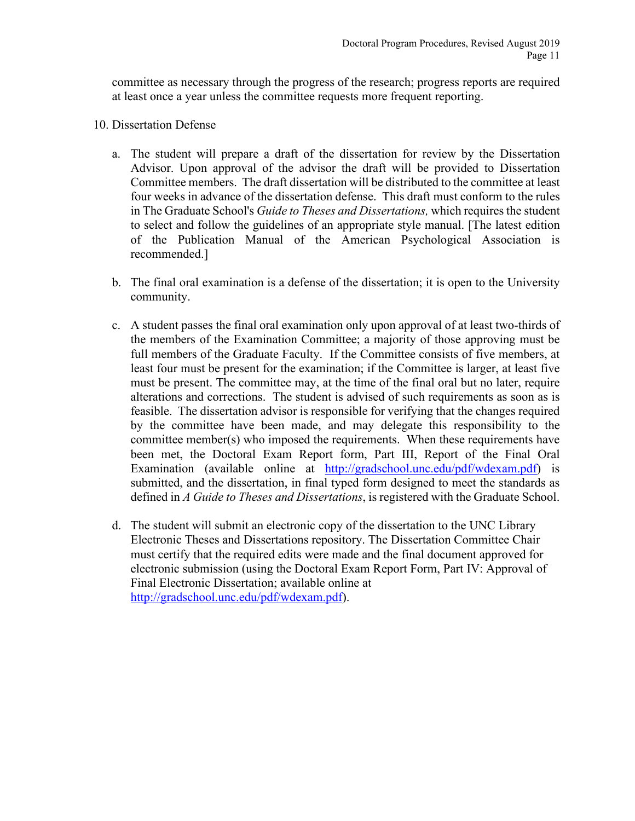committee as necessary through the progress of the research; progress reports are required at least once a year unless the committee requests more frequent reporting.

- 10. Dissertation Defense
	- a. The student will prepare a draft of the dissertation for review by the Dissertation Advisor. Upon approval of the advisor the draft will be provided to Dissertation Committee members. The draft dissertation will be distributed to the committee at least four weeks in advance of the dissertation defense. This draft must conform to the rules in The Graduate School's *Guide to Theses and Dissertations,* which requires the student to select and follow the guidelines of an appropriate style manual. [The latest edition of the Publication Manual of the American Psychological Association is recommended.]
	- b. The final oral examination is a defense of the dissertation; it is open to the University community.
	- c. A student passes the final oral examination only upon approval of at least two-thirds of the members of the Examination Committee; a majority of those approving must be full members of the Graduate Faculty. If the Committee consists of five members, at least four must be present for the examination; if the Committee is larger, at least five must be present. The committee may, at the time of the final oral but no later, require alterations and corrections. The student is advised of such requirements as soon as is feasible. The dissertation advisor is responsible for verifying that the changes required by the committee have been made, and may delegate this responsibility to the committee member(s) who imposed the requirements. When these requirements have been met, the Doctoral Exam Report form, Part III, Report of the Final Oral Examination (available online at http://gradschool.unc.edu/pdf/wdexam.pdf) is submitted, and the dissertation, in final typed form designed to meet the standards as defined in *A Guide to Theses and Dissertations*, is registered with the Graduate School.
	- d. The student will submit an electronic copy of the dissertation to the UNC Library Electronic Theses and Dissertations repository. The Dissertation Committee Chair must certify that the required edits were made and the final document approved for electronic submission (using the Doctoral Exam Report Form, Part IV: Approval of Final Electronic Dissertation; available online at http://gradschool.unc.edu/pdf/wdexam.pdf).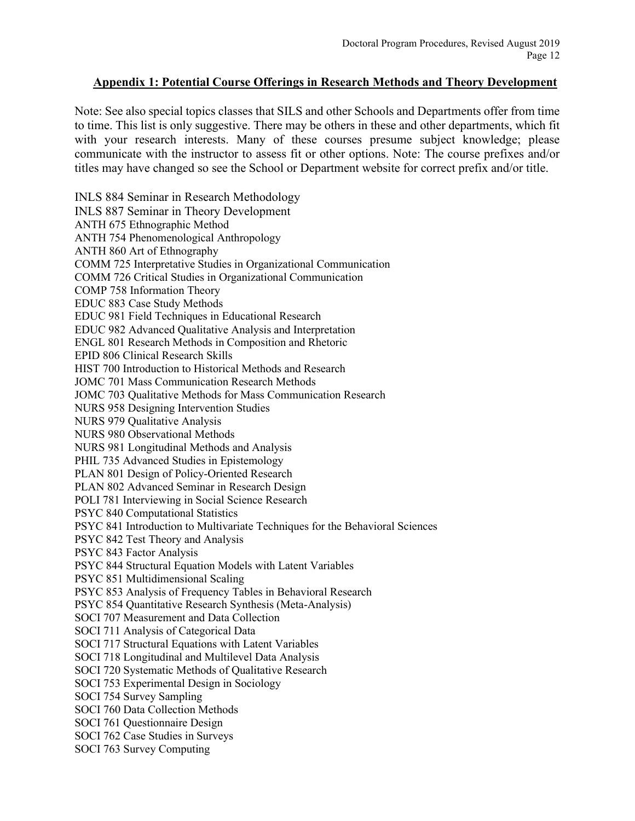### <span id="page-11-0"></span>**Appendix 1: Potential Course Offerings in Research Methods and Theory Development**

Note: See also special topics classes that SILS and other Schools and Departments offer from time to time. This list is only suggestive. There may be others in these and other departments, which fit with your research interests. Many of these courses presume subject knowledge; please communicate with the instructor to assess fit or other options. Note: The course prefixes and/or titles may have changed so see the School or Department website for correct prefix and/or title.

INLS 884 Seminar in Research Methodology INLS 887 Seminar in Theory Development ANTH 675 Ethnographic Method ANTH 754 Phenomenological Anthropology ANTH 860 Art of Ethnography COMM 725 Interpretative Studies in Organizational Communication COMM 726 Critical Studies in Organizational Communication COMP 758 Information Theory EDUC 883 Case Study Methods EDUC 981 Field Techniques in Educational Research EDUC 982 Advanced Qualitative Analysis and Interpretation ENGL 801 Research Methods in Composition and Rhetoric EPID 806 Clinical Research Skills HIST 700 Introduction to Historical Methods and Research JOMC 701 Mass Communication Research Methods JOMC 703 Qualitative Methods for Mass Communication Research NURS 958 Designing Intervention Studies NURS 979 Qualitative Analysis NURS 980 Observational Methods NURS 981 Longitudinal Methods and Analysis PHIL 735 Advanced Studies in Epistemology PLAN 801 Design of Policy-Oriented Research PLAN 802 Advanced Seminar in Research Design POLI 781 Interviewing in Social Science Research PSYC 840 Computational Statistics PSYC 841 Introduction to Multivariate Techniques for the Behavioral Sciences PSYC 842 Test Theory and Analysis PSYC 843 Factor Analysis PSYC 844 Structural Equation Models with Latent Variables PSYC 851 Multidimensional Scaling PSYC 853 Analysis of Frequency Tables in Behavioral Research PSYC 854 Quantitative Research Synthesis (Meta-Analysis) SOCI 707 Measurement and Data Collection SOCI 711 Analysis of Categorical Data SOCI 717 Structural Equations with Latent Variables SOCI 718 Longitudinal and Multilevel Data Analysis SOCI 720 Systematic Methods of Qualitative Research SOCI 753 Experimental Design in Sociology SOCI 754 Survey Sampling SOCI 760 Data Collection Methods SOCI 761 Questionnaire Design SOCI 762 Case Studies in Surveys SOCI 763 Survey Computing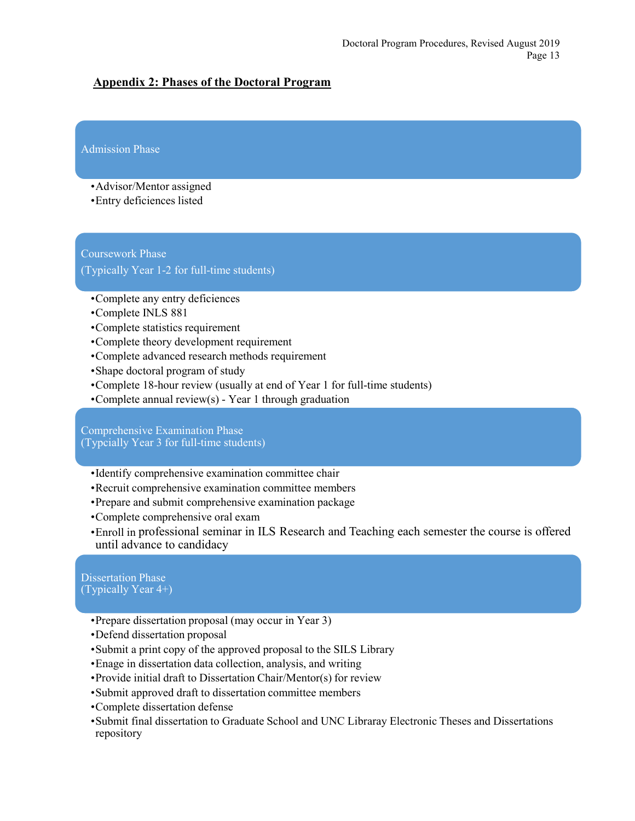### <span id="page-12-0"></span>**Appendix 2: Phases of the Doctoral Program**

### Admission Phase

- •Advisor/Mentor assigned
- •Entry deficiences listed

### Coursework Phase

(Typically Year 1-2 for full-time students)

- •Complete any entry deficiences
- •Complete INLS 881
- •Complete statistics requirement
- •Complete theory development requirement
- •Complete advanced research methods requirement
- •Shape doctoral program of study
- •Complete 18-hour review (usually at end of Year 1 for full-time students)
- •Complete annual review(s) Year 1 through graduation

Comprehensive Examination Phase (Typcially Year 3 for full-time students)

- •Identify comprehensive examination committee chair
- •Recruit comprehensive examination committee members
- •Prepare and submit comprehensive examination package
- •Complete comprehensive oral exam
- •Enroll in professional seminar in ILS Research and Teaching each semester the course is offered until advance to candidacy

#### Dissertation Phase (Typically Year 4+)

- •Prepare dissertation proposal (may occur in Year 3)
- •Defend dissertation proposal
- •Submit a print copy of the approved proposal to the SILS Library
- •Enage in dissertation data collection, analysis, and writing
- •Provide initial draft to Dissertation Chair/Mentor(s) for review
- •Submit approved draft to dissertation committee members
- •Complete dissertation defense
- •Submit final dissertation to Graduate School and UNC Libraray Electronic Theses and Dissertations repository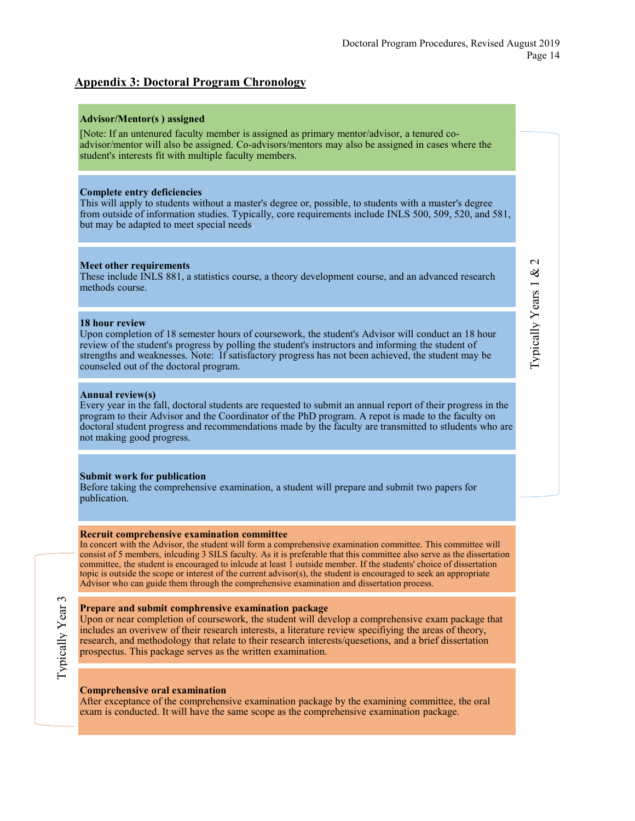### <span id="page-13-0"></span>**Appendix 3: Doctoral Program Chronology**

#### **Advisor/Mentor(s ) assigned**

[Note: If an untenured faculty member is assigned as primary mentor/advisor, a tenured coadvisor/mentor will also be assigned. Co-advisors/mentors may also be assigned in cases where the student's interests fit with multiple faculty members.

#### **Complete entry deficiencies**

This will apply to students without a master's degree or, possible, to students with a master's degree from outside of information studies. Typically, core requirements include INLS 500, 509, 520, and 581, but may be adapted to meet special needs.

#### **Meet other requirements**

These include INLS 881, a statistics course, a theory development course, and an advanced research methods course.

#### **18 hour review**

Upon completion of 18 semester hours of coursework, the student's Advisor will conduct an 18 hour review of the student's progress by polling the student's instructors and informing the student of strengths and weaknesses. Note: If satisfactory progress has not been achieved, the student may be counseled out of the doctoral program.

#### **Annual review(s)**

Every year in the fall, doctoral students are requested to submit an annual report of their progress in the program to their Advisor and the Coordinator of the PhD program. A repot is made to the faculty on doctoral student progress and recommendations made by the faculty are transmitted to stludents who are not making good progress.

#### **Submit work for publication**

Before taking the comprehensive examination, a student will prepare and submit two papers for publication.

#### **Recruit comprehensive examination committee**

In concert with the Advisor, the student will form a comprehensive examination committee. This committee will consist of 5 members, inlcuding 3 SILS faculty. As it is preferable that this committee also serve as the dissertation committee, the student is encouraged to inlcude at least 1 outside member. If the students' choice of dissertation topic is outside the scope or interest of the current advisor(s), the student is encouraged to seek an appropriate Advisor who can guide them through the comprehensive examination and dissertation process.

#### **Prepare and submit comphrensive examination package**

Upon or near completion of coursework, the student will develop a comprehensive exam package that includes an overivew of their research interests, a literature review specifiying the areas of theory, research, and methodology that relate to their research interests/quesetions, and a brief dissertation prospectus. This package serves as the written examination.

#### **Comprehensive oral examination**

After exceptance of the comprehensive examination package by the examining committee, the oral exam is conducted. It will have the same scope as the comprehensive examination package.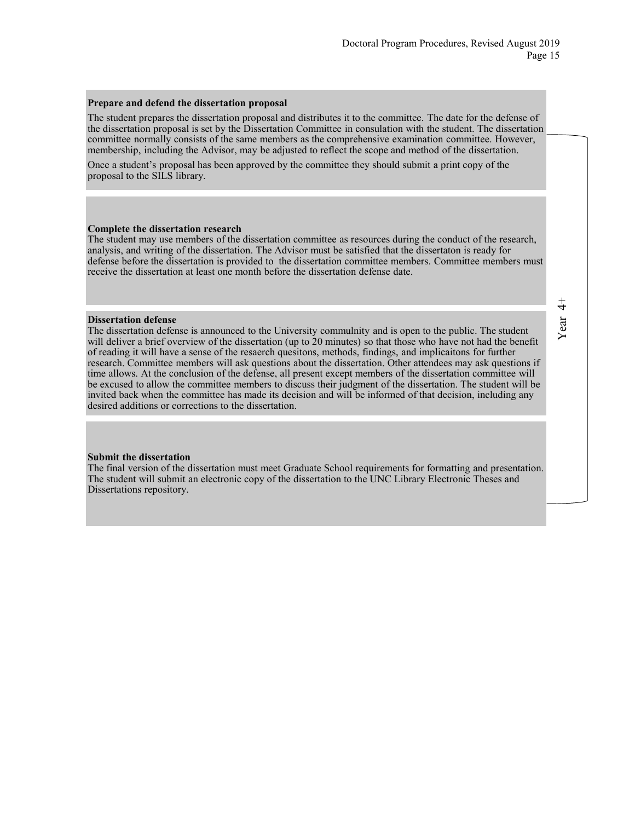#### **Prepare and defend the dissertation proposal**

The student prepares the dissertation proposal and distributes it to the committee. The date for the defense of the dissertation proposal is set by the Dissertation Committee in consulation with the student. The dissertation committee normally consists of the same members as the comprehensive examination committee. However, membership, including the Advisor, may be adjusted to reflect the scope and method of the dissertation.

Once a student's proposal has been approved by the committee they should submit a print copy of the proposal to the SILS library.

#### **Complete the dissertation research**

The student may use members of the dissertation committee as resources during the conduct of the research, analysis, and writing of the dissertation. The Advisor must be satisfied that the dissertaton is ready for defense before the dissertation is provided to the dissertation committee members. Committee members must receive the dissertation at least one month before the dissertation defense date.

#### **Dissertation defense**

The dissertation defense is announced to the University commulnity and is open to the public. The student will deliver a brief overview of the dissertation (up to 20 minutes) so that those who have not had the benefit of reading it will have a sense of the resaerch quesitons, methods, findings, and implicaitons for further research. Committee members will ask questions about the dissertation. Other attendees may ask questions if time allows. At the conclusion of the defense, all present except members of the dissertation committee will be excused to allow the committee members to discuss their judgment of the dissertation. The student will be invited back when the committee has made its decision and will be informed of that decision, including any desired additions or corrections to the dissertation.

#### **Submit the dissertation**

The final version of the dissertation must meet Graduate School requirements for formatting and presentation. The student will submit an electronic copy of the dissertation to the UNC Library Electronic Theses and Dissertations repository.

 $\ddot{4}$ Year 4+Year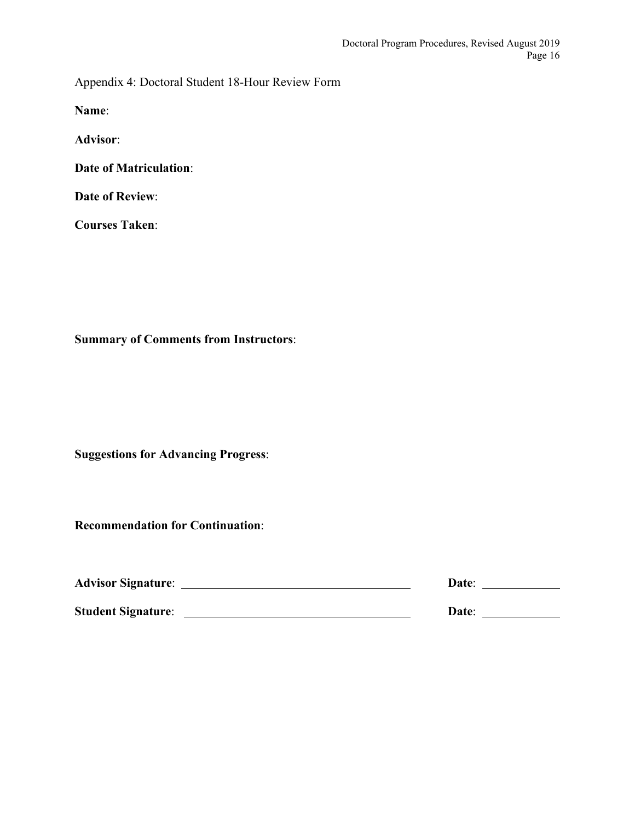<span id="page-15-0"></span>Appendix 4: Doctoral Student 18-Hour Review Form

**Name**:

**Advisor**:

**Date of Matriculation**:

**Date of Review**:

**Courses Taken**:

**Summary of Comments from Instructors**:

**Suggestions for Advancing Progress**:

**Recommendation for Continuation**:

| <b>Advisor Signature:</b> | Date: |  |  |
|---------------------------|-------|--|--|
| <b>Student Signature:</b> | Date: |  |  |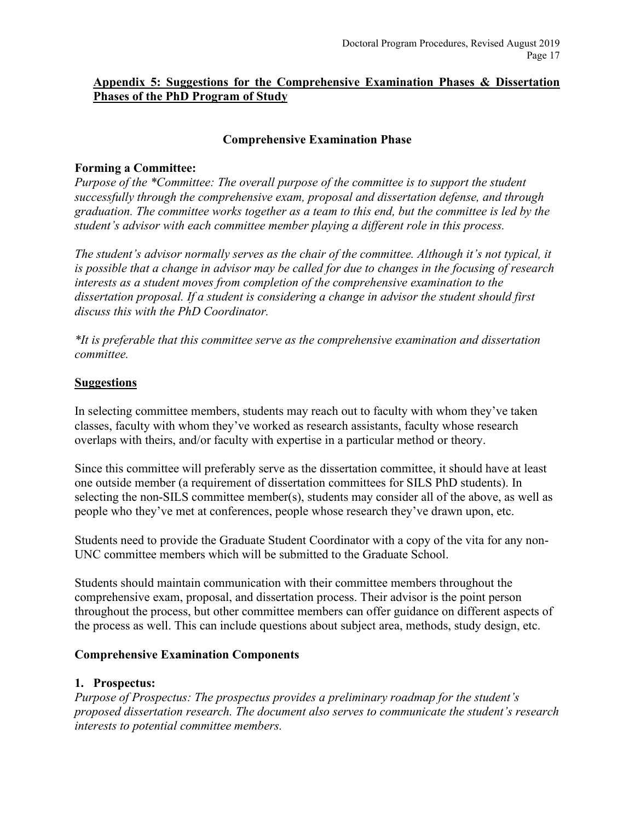### <span id="page-16-0"></span>**Appendix 5: Suggestions for the Comprehensive Examination Phases & Dissertation Phases of the PhD Program of Study**

### **Comprehensive Examination Phase**

### **Forming a Committee:**

*Purpose of the \*Committee: The overall purpose of the committee is to support the student successfully through the comprehensive exam, proposal and dissertation defense, and through graduation. The committee works together as a team to this end, but the committee is led by the student's advisor with each committee member playing a different role in this process.* 

*The student's advisor normally serves as the chair of the committee. Although it's not typical, it is possible that a change in advisor may be called for due to changes in the focusing of research interests as a student moves from completion of the comprehensive examination to the dissertation proposal. If a student is considering a change in advisor the student should first discuss this with the PhD Coordinator.*

*\*It is preferable that this committee serve as the comprehensive examination and dissertation committee.* 

### **Suggestions**

In selecting committee members, students may reach out to faculty with whom they've taken classes, faculty with whom they've worked as research assistants, faculty whose research overlaps with theirs, and/or faculty with expertise in a particular method or theory.

Since this committee will preferably serve as the dissertation committee, it should have at least one outside member (a requirement of dissertation committees for SILS PhD students). In selecting the non-SILS committee member(s), students may consider all of the above, as well as people who they've met at conferences, people whose research they've drawn upon, etc.

Students need to provide the Graduate Student Coordinator with a copy of the vita for any non-UNC committee members which will be submitted to the Graduate School.

Students should maintain communication with their committee members throughout the comprehensive exam, proposal, and dissertation process. Their advisor is the point person throughout the process, but other committee members can offer guidance on different aspects of the process as well. This can include questions about subject area, methods, study design, etc.

### **Comprehensive Examination Components**

### **1. Prospectus:**

*Purpose of Prospectus: The prospectus provides a preliminary roadmap for the student's proposed dissertation research. The document also serves to communicate the student's research interests to potential committee members.*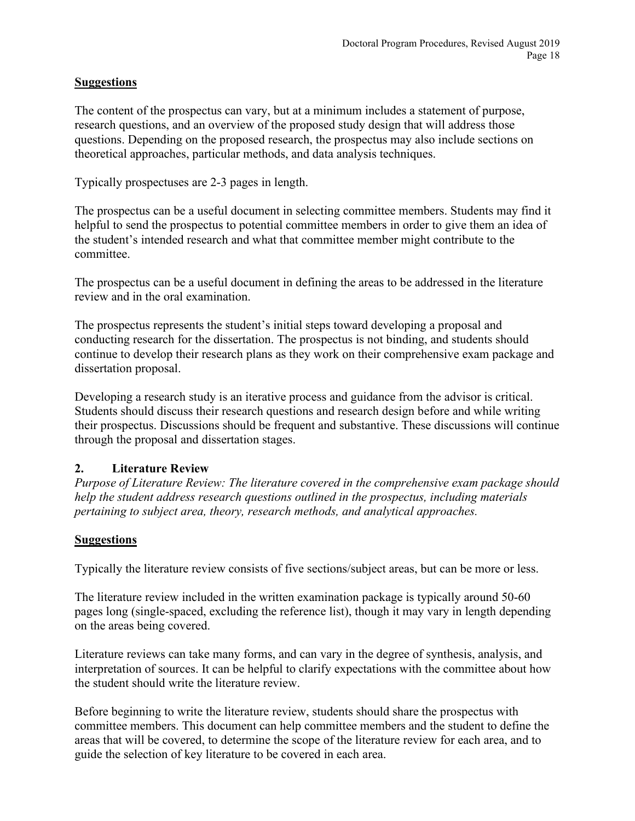### **Suggestions**

The content of the prospectus can vary, but at a minimum includes a statement of purpose, research questions, and an overview of the proposed study design that will address those questions. Depending on the proposed research, the prospectus may also include sections on theoretical approaches, particular methods, and data analysis techniques.

Typically prospectuses are 2-3 pages in length.

The prospectus can be a useful document in selecting committee members. Students may find it helpful to send the prospectus to potential committee members in order to give them an idea of the student's intended research and what that committee member might contribute to the committee.

The prospectus can be a useful document in defining the areas to be addressed in the literature review and in the oral examination.

The prospectus represents the student's initial steps toward developing a proposal and conducting research for the dissertation. The prospectus is not binding, and students should continue to develop their research plans as they work on their comprehensive exam package and dissertation proposal.

Developing a research study is an iterative process and guidance from the advisor is critical. Students should discuss their research questions and research design before and while writing their prospectus. Discussions should be frequent and substantive. These discussions will continue through the proposal and dissertation stages.

### **2. Literature Review**

*Purpose of Literature Review: The literature covered in the comprehensive exam package should help the student address research questions outlined in the prospectus, including materials pertaining to subject area, theory, research methods, and analytical approaches.*

### **Suggestions**

Typically the literature review consists of five sections/subject areas, but can be more or less.

The literature review included in the written examination package is typically around 50-60 pages long (single-spaced, excluding the reference list), though it may vary in length depending on the areas being covered.

Literature reviews can take many forms, and can vary in the degree of synthesis, analysis, and interpretation of sources. It can be helpful to clarify expectations with the committee about how the student should write the literature review.

Before beginning to write the literature review, students should share the prospectus with committee members. This document can help committee members and the student to define the areas that will be covered, to determine the scope of the literature review for each area, and to guide the selection of key literature to be covered in each area.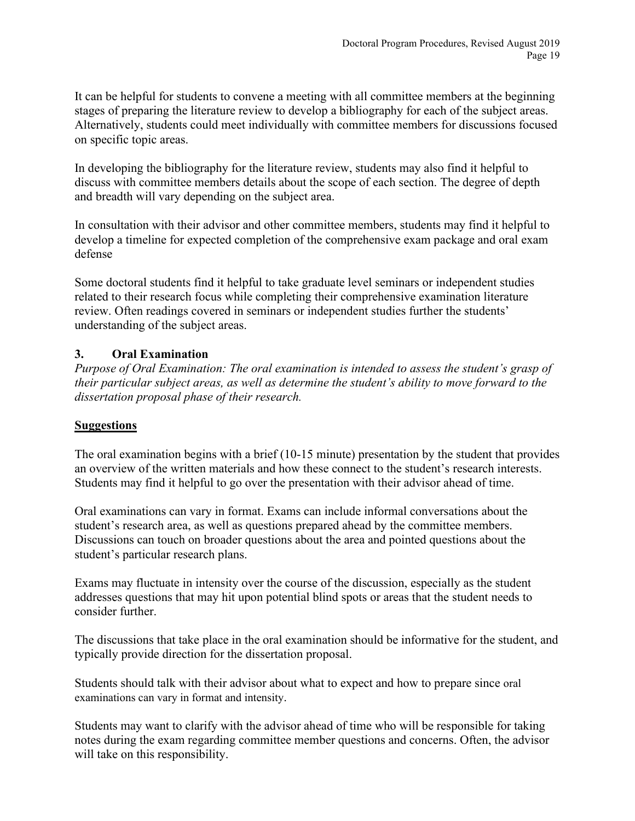It can be helpful for students to convene a meeting with all committee members at the beginning stages of preparing the literature review to develop a bibliography for each of the subject areas. Alternatively, students could meet individually with committee members for discussions focused on specific topic areas.

In developing the bibliography for the literature review, students may also find it helpful to discuss with committee members details about the scope of each section. The degree of depth and breadth will vary depending on the subject area.

In consultation with their advisor and other committee members, students may find it helpful to develop a timeline for expected completion of the comprehensive exam package and oral exam defense

Some doctoral students find it helpful to take graduate level seminars or independent studies related to their research focus while completing their comprehensive examination literature review. Often readings covered in seminars or independent studies further the students' understanding of the subject areas.

# **3. Oral Examination**

*Purpose of Oral Examination: The oral examination is intended to assess the student's grasp of their particular subject areas, as well as determine the student's ability to move forward to the dissertation proposal phase of their research.*

# **Suggestions**

The oral examination begins with a brief (10-15 minute) presentation by the student that provides an overview of the written materials and how these connect to the student's research interests. Students may find it helpful to go over the presentation with their advisor ahead of time.

Oral examinations can vary in format. Exams can include informal conversations about the student's research area, as well as questions prepared ahead by the committee members. Discussions can touch on broader questions about the area and pointed questions about the student's particular research plans.

Exams may fluctuate in intensity over the course of the discussion, especially as the student addresses questions that may hit upon potential blind spots or areas that the student needs to consider further.

The discussions that take place in the oral examination should be informative for the student, and typically provide direction for the dissertation proposal.

Students should talk with their advisor about what to expect and how to prepare since oral examinations can vary in format and intensity.

Students may want to clarify with the advisor ahead of time who will be responsible for taking notes during the exam regarding committee member questions and concerns. Often, the advisor will take on this responsibility.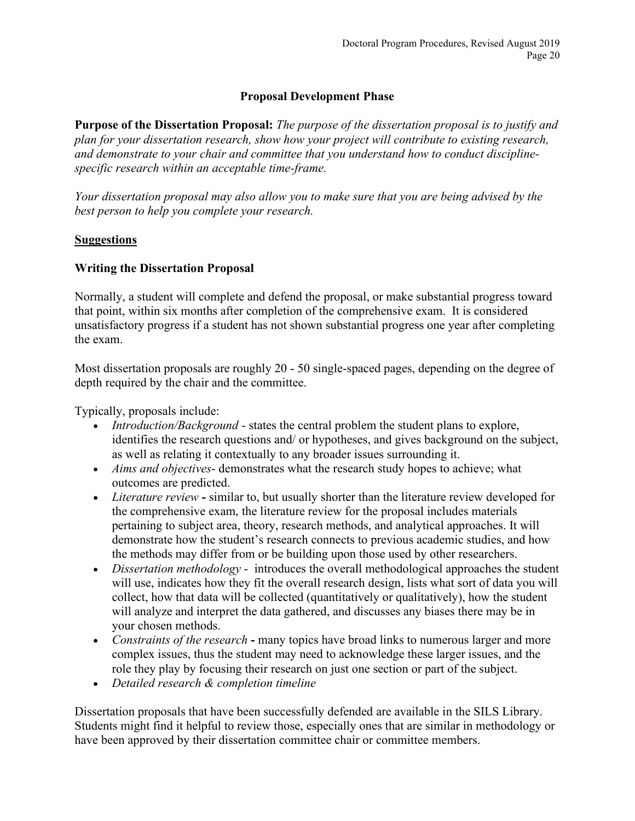## **Proposal Development Phase**

**Purpose of the Dissertation Proposal:** *The purpose of the dissertation proposal is to justify and plan for your dissertation research, show how your project will contribute to existing research, and demonstrate to your chair and committee that you understand how to conduct disciplinespecific research within an acceptable time-frame.*

*Your dissertation proposal may also allow you to make sure that you are being advised by the best person to help you complete your research.*

### **Suggestions**

### **Writing the Dissertation Proposal**

Normally, a student will complete and defend the proposal, or make substantial progress toward that point, within six months after completion of the comprehensive exam. It is considered unsatisfactory progress if a student has not shown substantial progress one year after completing the exam.

Most dissertation proposals are roughly 20 - 50 single-spaced pages, depending on the degree of depth required by the chair and the committee.

Typically, proposals include:

- *Introduction/Background* states the central problem the student plans to explore, identifies the research questions and/ or hypotheses, and gives background on the subject, as well as relating it contextually to any broader issues surrounding it.
- *Aims and objectives* demonstrates what the research study hopes to achieve; what outcomes are predicted.
- *Literature review* **-** similar to, but usually shorter than the literature review developed for the comprehensive exam, the literature review for the proposal includes materials pertaining to subject area, theory, research methods, and analytical approaches. It will demonstrate how the student's research connects to previous academic studies, and how the methods may differ from or be building upon those used by other researchers.
- *Dissertation methodology* introduces the overall methodological approaches the student will use, indicates how they fit the overall research design, lists what sort of data you will collect, how that data will be collected (quantitatively or qualitatively), how the student will analyze and interpret the data gathered, and discusses any biases there may be in your chosen methods.
- *Constraints of the research* **-** many topics have broad links to numerous larger and more complex issues, thus the student may need to acknowledge these larger issues, and the role they play by focusing their research on just one section or part of the subject.
- *Detailed research & completion timeline*

Dissertation proposals that have been successfully defended are available in the SILS Library. Students might find it helpful to review those, especially ones that are similar in methodology or have been approved by their dissertation committee chair or committee members.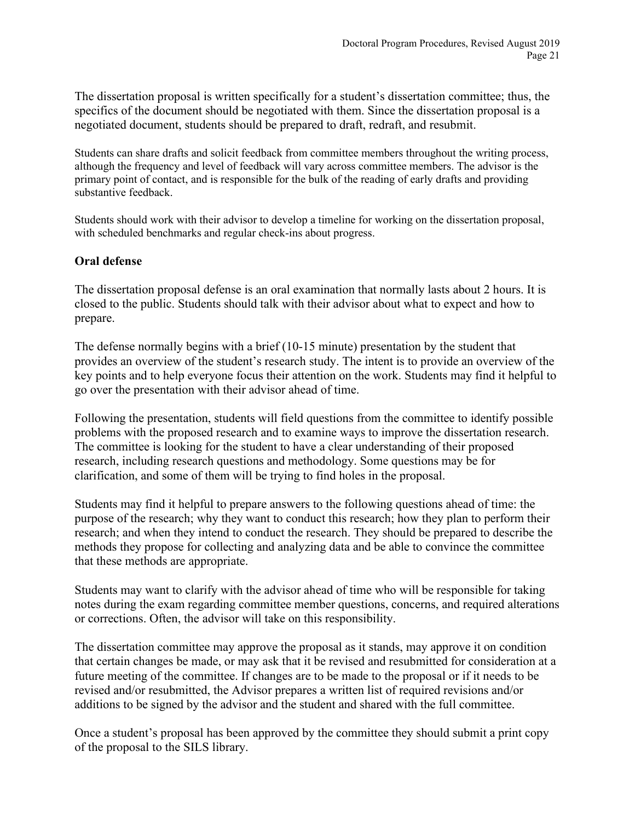The dissertation proposal is written specifically for a student's dissertation committee; thus, the specifics of the document should be negotiated with them. Since the dissertation proposal is a negotiated document, students should be prepared to draft, redraft, and resubmit.

Students can share drafts and solicit feedback from committee members throughout the writing process, although the frequency and level of feedback will vary across committee members. The advisor is the primary point of contact, and is responsible for the bulk of the reading of early drafts and providing substantive feedback.

Students should work with their advisor to develop a timeline for working on the dissertation proposal, with scheduled benchmarks and regular check-ins about progress.

### **Oral defense**

The dissertation proposal defense is an oral examination that normally lasts about 2 hours. It is closed to the public. Students should talk with their advisor about what to expect and how to prepare.

The defense normally begins with a brief (10-15 minute) presentation by the student that provides an overview of the student's research study. The intent is to provide an overview of the key points and to help everyone focus their attention on the work. Students may find it helpful to go over the presentation with their advisor ahead of time.

Following the presentation, students will field questions from the committee to identify possible problems with the proposed research and to examine ways to improve the dissertation research. The committee is looking for the student to have a clear understanding of their proposed research, including research questions and methodology. Some questions may be for clarification, and some of them will be trying to find holes in the proposal.

Students may find it helpful to prepare answers to the following questions ahead of time: the purpose of the research; why they want to conduct this research; how they plan to perform their research; and when they intend to conduct the research. They should be prepared to describe the methods they propose for collecting and analyzing data and be able to convince the committee that these methods are appropriate.

Students may want to clarify with the advisor ahead of time who will be responsible for taking notes during the exam regarding committee member questions, concerns, and required alterations or corrections. Often, the advisor will take on this responsibility.

The dissertation committee may approve the proposal as it stands, may approve it on condition that certain changes be made, or may ask that it be revised and resubmitted for consideration at a future meeting of the committee. If changes are to be made to the proposal or if it needs to be revised and/or resubmitted, the Advisor prepares a written list of required revisions and/or additions to be signed by the advisor and the student and shared with the full committee.

Once a student's proposal has been approved by the committee they should submit a print copy of the proposal to the SILS library.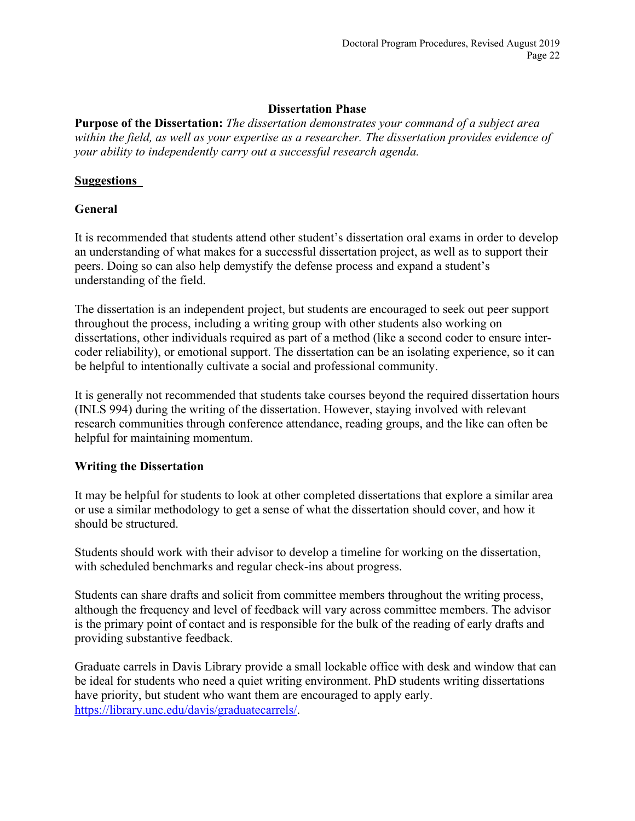### **Dissertation Phase**

**Purpose of the Dissertation:** *The dissertation demonstrates your command of a subject area within the field, as well as your expertise as a researcher. The dissertation provides evidence of your ability to independently carry out a successful research agenda.*

### **Suggestions**

### **General**

It is recommended that students attend other student's dissertation oral exams in order to develop an understanding of what makes for a successful dissertation project, as well as to support their peers. Doing so can also help demystify the defense process and expand a student's understanding of the field.

The dissertation is an independent project, but students are encouraged to seek out peer support throughout the process, including a writing group with other students also working on dissertations, other individuals required as part of a method (like a second coder to ensure intercoder reliability), or emotional support. The dissertation can be an isolating experience, so it can be helpful to intentionally cultivate a social and professional community.

It is generally not recommended that students take courses beyond the required dissertation hours (INLS 994) during the writing of the dissertation. However, staying involved with relevant research communities through conference attendance, reading groups, and the like can often be helpful for maintaining momentum.

### **Writing the Dissertation**

It may be helpful for students to look at other completed dissertations that explore a similar area or use a similar methodology to get a sense of what the dissertation should cover, and how it should be structured.

Students should work with their advisor to develop a timeline for working on the dissertation, with scheduled benchmarks and regular check-ins about progress.

Students can share drafts and solicit from committee members throughout the writing process, although the frequency and level of feedback will vary across committee members. The advisor is the primary point of contact and is responsible for the bulk of the reading of early drafts and providing substantive feedback.

Graduate carrels in Davis Library provide a small lockable office with desk and window that can be ideal for students who need a quiet writing environment. PhD students writing dissertations have priority, but student who want them are encouraged to apply early. [https://library.unc.edu/davis/graduatecarrels/.](https://www.google.com/url?q=https://library.unc.edu/davis/graduatecarrels/&sa=D&ust=1554303370915000&usg=AFQjCNHgsZeVQCXrcnMd1R_FVms5wVDJww)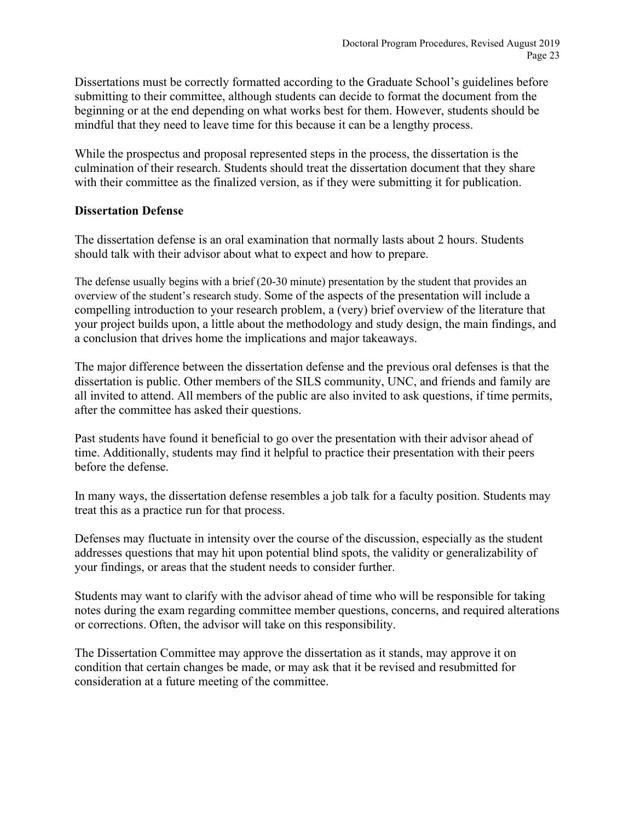Dissertations must be correctly formatted according to the Graduate School's guidelines before submitting to their committee, although students can decide to format the document from the beginning or at the end depending on what works best for them. However, students should be mindful that they need to leave time for this because it can be a lengthy process.

While the prospectus and proposal represented steps in the process, the dissertation is the culmination of their research. Students should treat the dissertation document that they share with their committee as the finalized version, as if they were submitting it for publication.

### **Dissertation Defense**

The dissertation defense is an oral examination that normally lasts about 2 hours. Students should talk with their advisor about what to expect and how to prepare.

The defense usually begins with a brief (20-30 minute) presentation by the student that provides an overview of the student's research study. Some of the aspects of the presentation will include a compelling introduction to your research problem, a (very) brief overview of the literature that your project builds upon, a little about the methodology and study design, the main findings, and a conclusion that drives home the implications and major takeaways.

The major difference between the dissertation defense and the previous oral defenses is that the dissertation is public. Other members of the SILS community, UNC, and friends and family are all invited to attend. All members of the public are also invited to ask questions, if time permits, after the committee has asked their questions.

Past students have found it beneficial to go over the presentation with their advisor ahead of time. Additionally, students may find it helpful to practice their presentation with their peers before the defense.

In many ways, the dissertation defense resembles a job talk for a faculty position. Students may treat this as a practice run for that process.

Defenses may fluctuate in intensity over the course of the discussion, especially as the student addresses questions that may hit upon potential blind spots, the validity or generalizability of your findings, or areas that the student needs to consider further.

Students may want to clarify with the advisor ahead of time who will be responsible for taking notes during the exam regarding committee member questions, concerns, and required alterations or corrections. Often, the advisor will take on this responsibility.

The Dissertation Committee may approve the dissertation as it stands, may approve it on condition that certain changes be made, or may ask that it be revised and resubmitted for consideration at a future meeting of the committee.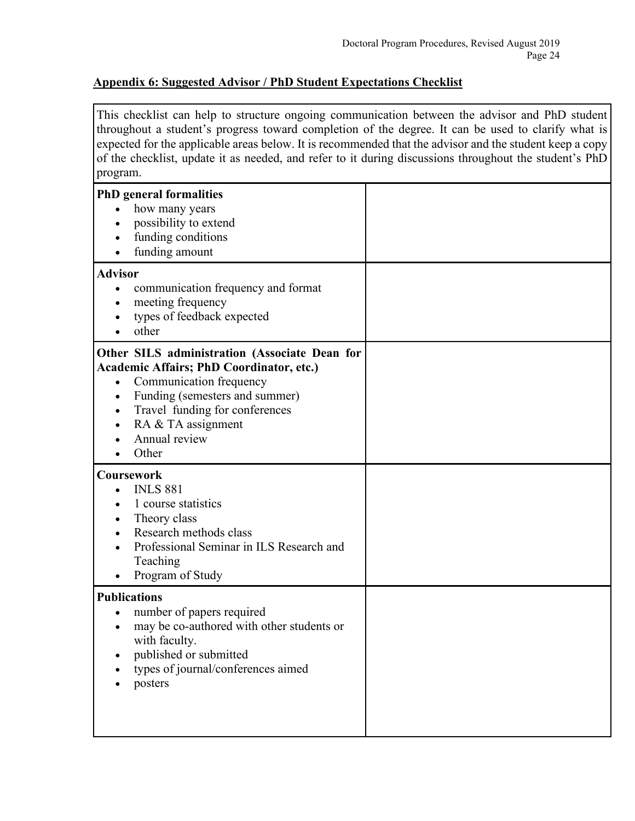### <span id="page-23-0"></span>**Appendix 6: Suggested Advisor / PhD Student Expectations Checklist**

This checklist can help to structure ongoing communication between the advisor and PhD student throughout a student's progress toward completion of the degree. It can be used to clarify what is expected for the applicable areas below. It is recommended that the advisor and the student keep a copy of the checklist, update it as needed, and refer to it during discussions throughout the student's PhD program.

| <b>PhD</b> general formalities<br>how many years<br>possibility to extend<br>funding conditions<br>funding amount                                                                                                                                                         |  |
|---------------------------------------------------------------------------------------------------------------------------------------------------------------------------------------------------------------------------------------------------------------------------|--|
| <b>Advisor</b><br>communication frequency and format<br>$\bullet$<br>meeting frequency<br>$\bullet$<br>types of feedback expected<br>other                                                                                                                                |  |
| Other SILS administration (Associate Dean for<br><b>Academic Affairs; PhD Coordinator, etc.)</b><br>Communication frequency<br>$\bullet$<br>Funding (semesters and summer)<br>Travel funding for conferences<br>$\bullet$<br>RA & TA assignment<br>Annual review<br>Other |  |
| <b>Coursework</b><br><b>INLS 881</b><br>1 course statistics<br>Theory class<br>Research methods class<br>Professional Seminar in ILS Research and<br>Teaching<br>Program of Study                                                                                         |  |
| <b>Publications</b><br>number of papers required<br>$\bullet$<br>may be co-authored with other students or<br>with faculty.<br>published or submitted<br>types of journal/conferences aimed<br>posters                                                                    |  |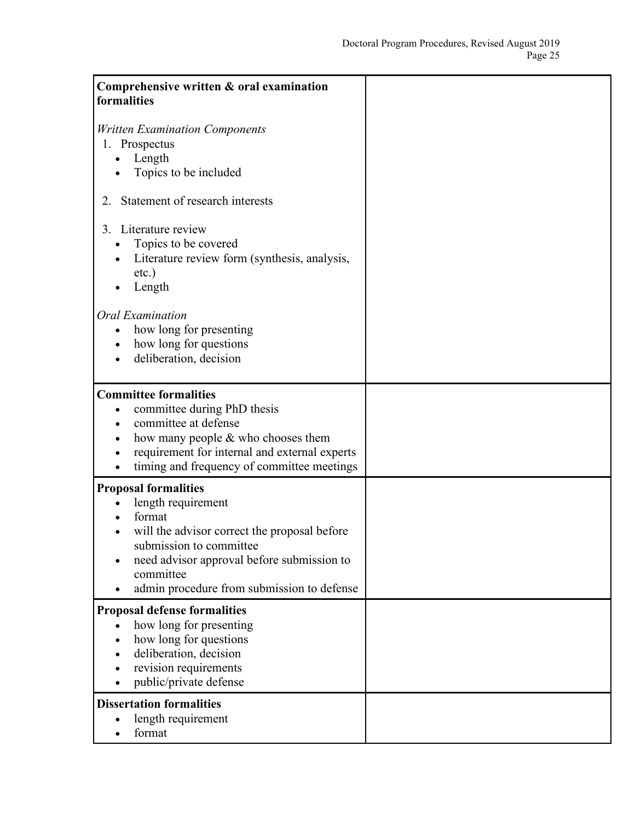| Comprehensive written & oral examination<br>formalities                                                                                                                                                                                         |  |
|-------------------------------------------------------------------------------------------------------------------------------------------------------------------------------------------------------------------------------------------------|--|
| <b>Written Examination Components</b><br>1. Prospectus<br>Length<br>Topics to be included                                                                                                                                                       |  |
| Statement of research interests<br>2.                                                                                                                                                                                                           |  |
| Literature review<br>3.<br>Topics to be covered<br>Literature review form (synthesis, analysis,<br>etc.)<br>Length                                                                                                                              |  |
| Oral Examination<br>how long for presenting<br>how long for questions<br>deliberation, decision                                                                                                                                                 |  |
| <b>Committee formalities</b><br>committee during PhD thesis<br>٠<br>committee at defense<br>how many people & who chooses them<br>requirement for internal and external experts<br>timing and frequency of committee meetings                   |  |
| <b>Proposal formalities</b><br>length requirement<br>format<br>will the advisor correct the proposal before<br>submission to committee<br>need advisor approval before submission to<br>committee<br>admin procedure from submission to defense |  |
| <b>Proposal defense formalities</b><br>how long for presenting<br>how long for questions<br>deliberation, decision<br>revision requirements<br>public/private defense                                                                           |  |
| <b>Dissertation formalities</b><br>length requirement<br>format                                                                                                                                                                                 |  |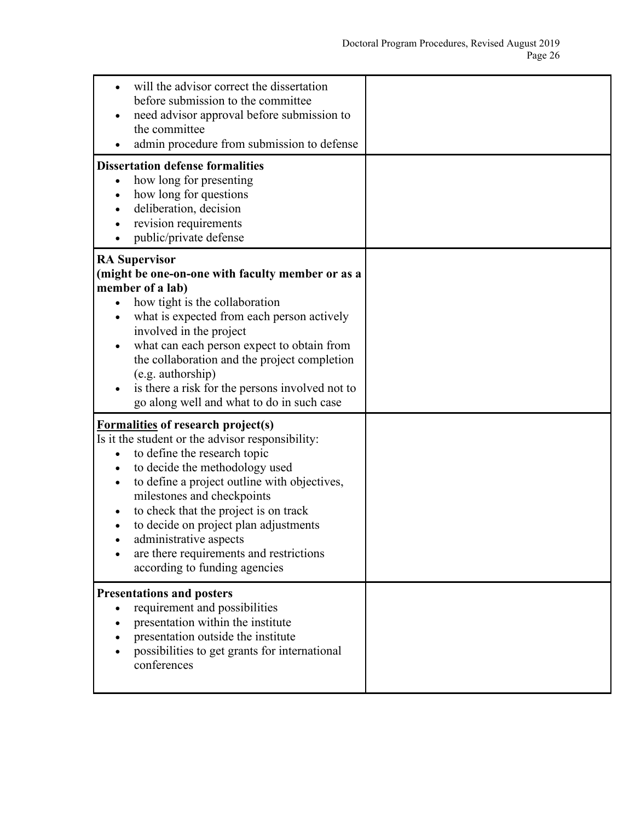| will the advisor correct the dissertation<br>before submission to the committee<br>need advisor approval before submission to<br>the committee<br>admin procedure from submission to defense                                                                                                                                                                                                                                          |  |
|---------------------------------------------------------------------------------------------------------------------------------------------------------------------------------------------------------------------------------------------------------------------------------------------------------------------------------------------------------------------------------------------------------------------------------------|--|
| <b>Dissertation defense formalities</b><br>how long for presenting<br>how long for questions<br>deliberation, decision<br>revision requirements<br>public/private defense                                                                                                                                                                                                                                                             |  |
| <b>RA Supervisor</b><br>(might be one-on-one with faculty member or as a<br>member of a lab)<br>how tight is the collaboration<br>what is expected from each person actively<br>involved in the project<br>what can each person expect to obtain from<br>the collaboration and the project completion<br>(e.g. authorship)<br>is there a risk for the persons involved not to<br>go along well and what to do in such case            |  |
| <b>Formalities of research project(s)</b><br>Is it the student or the advisor responsibility:<br>to define the research topic<br>to decide the methodology used<br>to define a project outline with objectives,<br>milestones and checkpoints<br>to check that the project is on track<br>to decide on project plan adjustments<br>administrative aspects<br>are there requirements and restrictions<br>according to funding agencies |  |
| <b>Presentations and posters</b><br>requirement and possibilities<br>presentation within the institute<br>presentation outside the institute<br>possibilities to get grants for international<br>conferences                                                                                                                                                                                                                          |  |